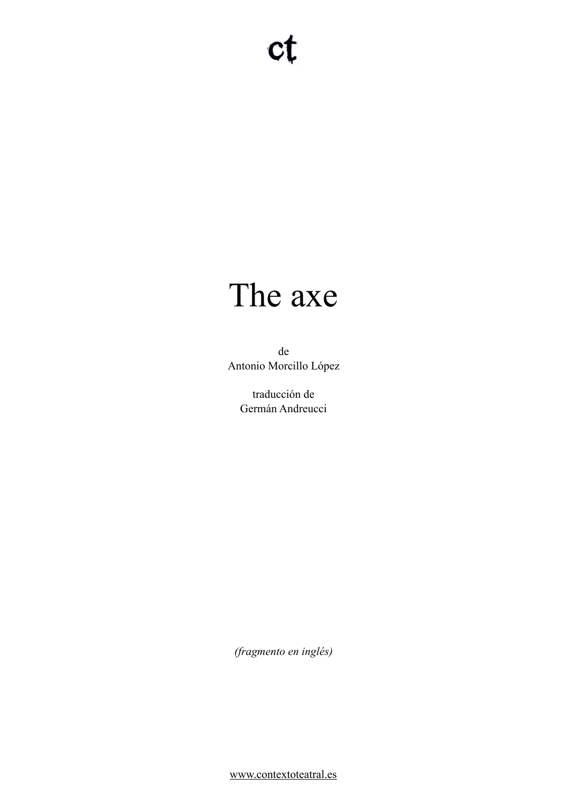# The axe

de Antonio Morcillo López

> traducción de Germán Andreucci

*(fragmento en inglés)* 

[www.contextoteatral.es](http://www.contextoteatral.es)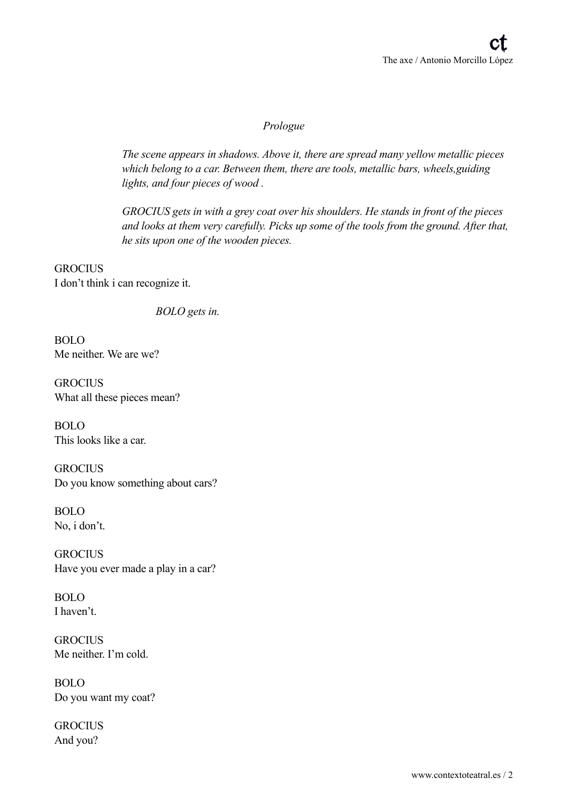# *Prologue*

*The scene appears in shadows. Above it, there are spread many yellow metallic pieces which belong to a car. Between them, there are tools, metallic bars, wheels,guiding lights, and four pieces of wood .*

*GROCIUS gets in with a grey coat over his shoulders. He stands in front of the pieces and looks at them very carefully. Picks up some of the tools from the ground. After that, he sits upon one of the wooden pieces.*

**GROCIUS** I don't think i can recognize it.

 *BOLO gets in.*

BOLO Me neither. We are we?

**GROCIUS** What all these pieces mean?

BOLO This looks like a car.

**GROCIUS** Do you know something about cars?

BOLO No, i don't.

**GROCIUS** Have you ever made a play in a car?

BOLO I haven't.

**GROCIUS** Me neither. I'm cold.

BOLO Do you want my coat?

**GROCIUS** And you?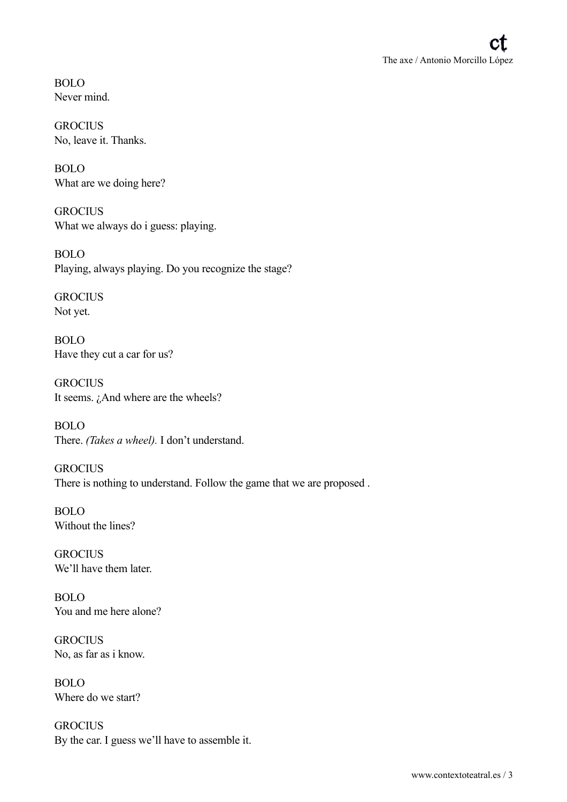BOLO Never mind.

**GROCIUS** No, leave it. Thanks.

BOLO What are we doing here?

**GROCIUS** What we always do i guess: playing.

BOLO Playing, always playing. Do you recognize the stage?

**GROCIUS** Not yet.

BOLO Have they cut a car for us?

**GROCIUS** It seems.  $\lambda$ And where are the wheels?

BOLO There. *(Takes a wheel).* I don't understand.

**GROCIUS** There is nothing to understand. Follow the game that we are proposed .

BOLO Without the lines?

**GROCIUS** We'll have them later.

BOLO You and me here alone?

**GROCIUS** No, as far as i know.

BOLO Where do we start?

**GROCIUS** By the car. I guess we'll have to assemble it.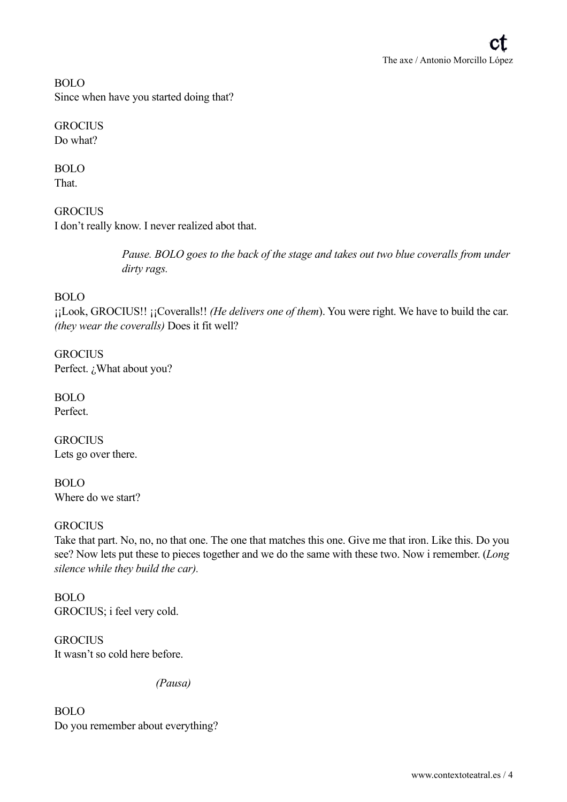BOLO Since when have you started doing that?

**GROCIUS** Do what?

BOLO That.

**GROCIUS** I don't really know. I never realized abot that.

> *Pause. BOLO goes to the back of the stage and takes out two blue coveralls from under dirty rags.*

# BOLO

¡¡Look, GROCIUS!! ¡¡Coveralls!! *(He delivers one of them*). You were right. We have to build the car. *(they wear the coveralls)* Does it fit well?

**GROCIUS** Perfect. ¿What about you?

BOLO Perfect.

**GROCIUS** Lets go over there.

BOLO Where do we start?

## **GROCIUS**

Take that part. No, no, no that one. The one that matches this one. Give me that iron. Like this. Do you see? Now lets put these to pieces together and we do the same with these two. Now i remember. (*Long silence while they build the car).*

BOLO GROCIUS; i feel very cold.

**GROCIUS** It wasn't so cold here before.

 *(Pausa)*

BOLO Do you remember about everything?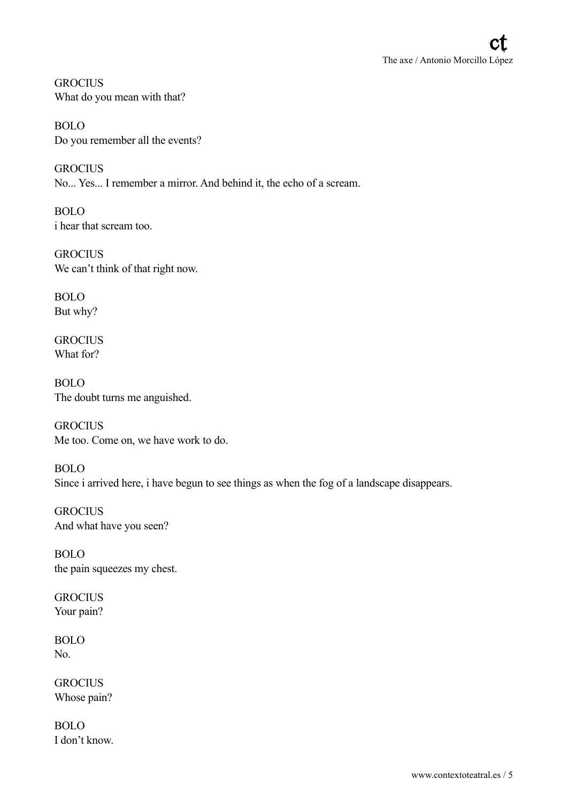**GROCIUS** What do you mean with that?

BOLO Do you remember all the events?

**GROCIUS** No... Yes... I remember a mirror. And behind it, the echo of a scream.

BOLO i hear that scream too.

**GROCIUS** We can't think of that right now.

BOLO But why?

**GROCIUS** What for?

BOLO The doubt turns me anguished.

**GROCIUS** Me too. Come on, we have work to do.

BOLO Since i arrived here, i have begun to see things as when the fog of a landscape disappears.

**GROCIUS** And what have you seen?

BOLO the pain squeezes my chest.

**GROCIUS** Your pain?

BOLO No.

**GROCIUS** Whose pain?

BOLO I don't know.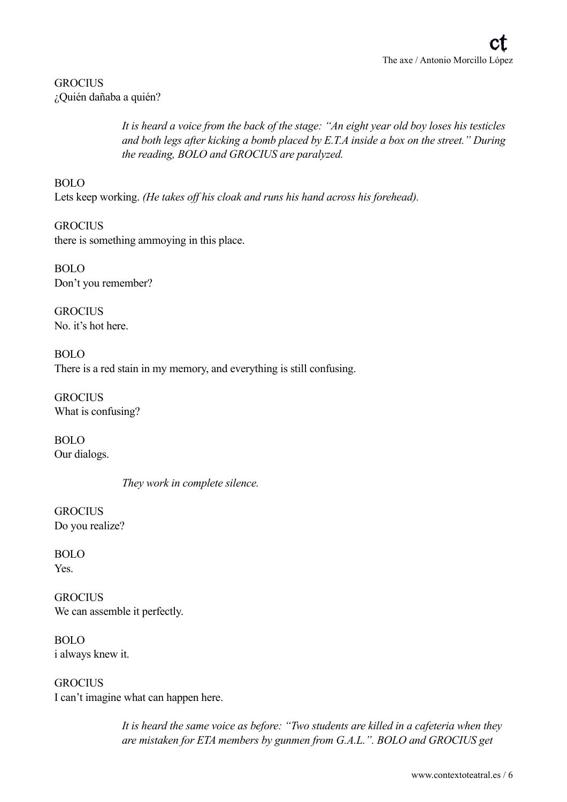# **GROCIUS** ¿Quién dañaba a quién?

 *It is heard a voice from the back of the stage: "An eight year old boy loses his testicles and both legs after kicking a bomb placed by E.T.A inside a box on the street." During the reading, BOLO and GROCIUS are paralyzed.*

# BOLO

Lets keep working. *(He takes off his cloak and runs his hand across his forehead).*

**GROCIUS** there is something ammoying in this place.

BOLO Don't you remember?

**GROCIUS** No. it's hot here.

BOLO There is a red stain in my memory, and everything is still confusing.

**GROCIUS** What is confusing?

BOLO Our dialogs.

 *They work in complete silence.*

**GROCIUS** Do you realize?

BOLO Yes.

**GROCIUS** We can assemble it perfectly.

BOLO i always knew it.

**GROCIUS** I can't imagine what can happen here.

> *It is heard the same voice as before: "Two students are killed in a cafeteria when they are mistaken for ETA members by gunmen from G.A.L.". BOLO and GROCIUS get*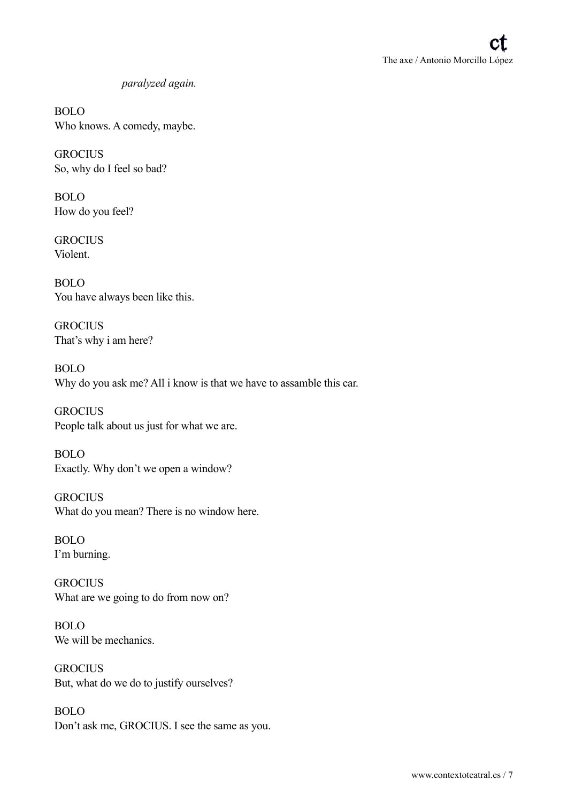# *paralyzed again.*

BOLO Who knows. A comedy, maybe.

**GROCIUS** So, why do I feel so bad?

BOLO How do you feel?

**GROCIUS** Violent.

BOLO You have always been like this.

**GROCIUS** That's why i am here?

BOLO Why do you ask me? All i know is that we have to assamble this car.

**GROCIUS** People talk about us just for what we are.

BOLO Exactly. Why don't we open a window?

**GROCIUS** What do you mean? There is no window here.

BOLO I'm burning.

**GROCIUS** What are we going to do from now on?

BOLO We will be mechanics.

**GROCIUS** But, what do we do to justify ourselves?

BOLO Don't ask me, GROCIUS. I see the same as you.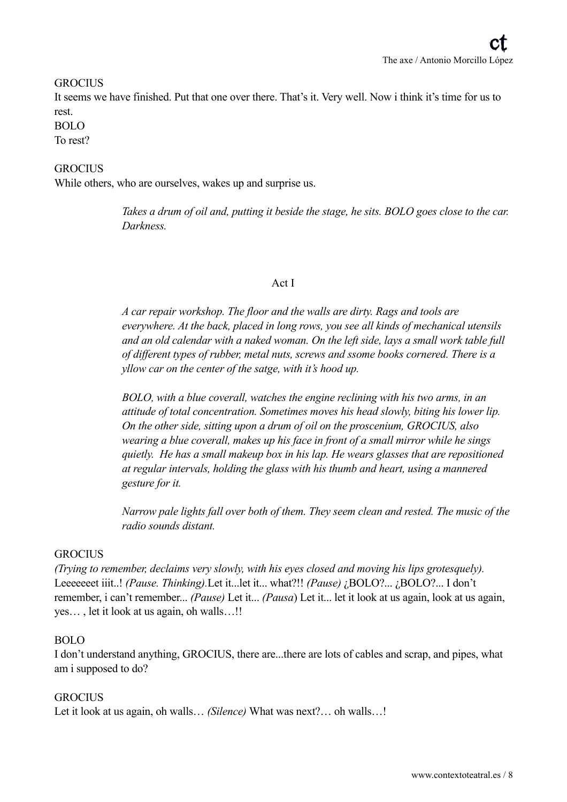#### **GROCIUS**

It seems we have finished. Put that one over there. That's it. Very well. Now i think it's time for us to rest.

#### BOLO

To rest?

# **GROCIUS**

While others, who are ourselves, wakes up and surprise us.

 *Takes a drum of oil and, putting it beside the stage, he sits. BOLO goes close to the car. Darkness.* 

#### Act I

*A car repair workshop. The floor and the walls are dirty. Rags and tools are everywhere. At the back, placed in long rows, you see all kinds of mechanical utensils and an old calendar with a naked woman. On the left side, lays a small work table full of different types of rubber, metal nuts, screws and ssome books cornered. There is a yllow car on the center of the satge, with it's hood up.*

*BOLO, with a blue coverall, watches the engine reclining with his two arms, in an attitude of total concentration. Sometimes moves his head slowly, biting his lower lip. On the other side, sitting upon a drum of oil on the proscenium, GROCIUS, also wearing a blue coverall, makes up his face in front of a small mirror while he sings quietly. He has a small makeup box in his lap. He wears glasses that are repositioned at regular intervals, holding the glass with his thumb and heart, using a mannered gesture for it.*

*Narrow pale lights fall over both of them. They seem clean and rested. The music of the radio sounds distant.*

#### **GROCIUS**

*(Trying to remember, declaims very slowly, with his eyes closed and moving his lips grotesquely).* Leeeeeeet iiit..! *(Pause. Thinking).*Let it...let it... what?!! *(Pause)* ¿BOLO?... ¿BOLO?... I don't remember, i can't remember... *(Pause)* Let it... *(Pausa*) Let it... let it look at us again, look at us again, yes… , let it look at us again, oh walls…!!

## BOLO

I don't understand anything, GROCIUS, there are...there are lots of cables and scrap, and pipes, what am i supposed to do?

#### **GROCIUS**

Let it look at us again, oh walls… *(Silence)* What was next?… oh walls…!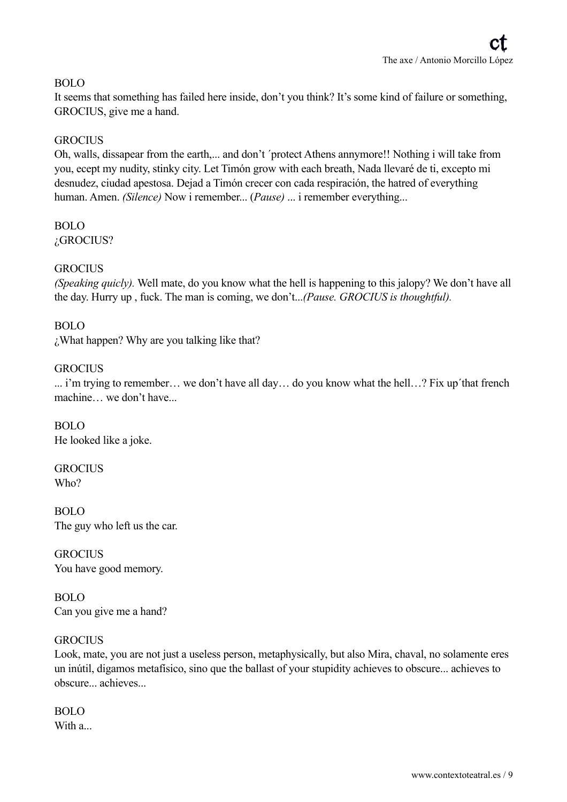# BOLO

It seems that something has failed here inside, don't you think? It's some kind of failure or something, GROCIUS, give me a hand.

# **GROCIUS**

Oh, walls, dissapear from the earth,... and don't 'protect Athens annymore!! Nothing i will take from you, ecept my nudity, stinky city. Let Timón grow with each breath, Nada llevaré de ti, excepto mi desnudez, ciudad apestosa. Dejad a Timón crecer con cada respiración, the hatred of everything human. Amen. *(Silence)* Now i remember... (*Pause)* ... i remember everything...

#### BOLO ¿GROCIUS?

# **GROCIUS**

*(Speaking quicly).* Well mate, do you know what the hell is happening to this jalopy? We don't have all the day. Hurry up , fuck. The man is coming, we don't...*(Pause. GROCIUS is thoughtful).*

## BOLO

¿What happen? Why are you talking like that?

## **GROCIUS**

... i'm trying to remember… we don't have all day… do you know what the hell…? Fix up´that french machine… we don't have...

BOLO He looked like a joke.

**GROCIUS** Who?

BOLO The guy who left us the car.

**GROCIUS** You have good memory.

BOLO Can you give me a hand?

## **GROCIUS**

Look, mate, you are not just a useless person, metaphysically, but also Mira, chaval, no solamente eres un inútil, digamos metafísico, sino que the ballast of your stupidity achieves to obscure... achieves to obscure... achieves...

BOLO With a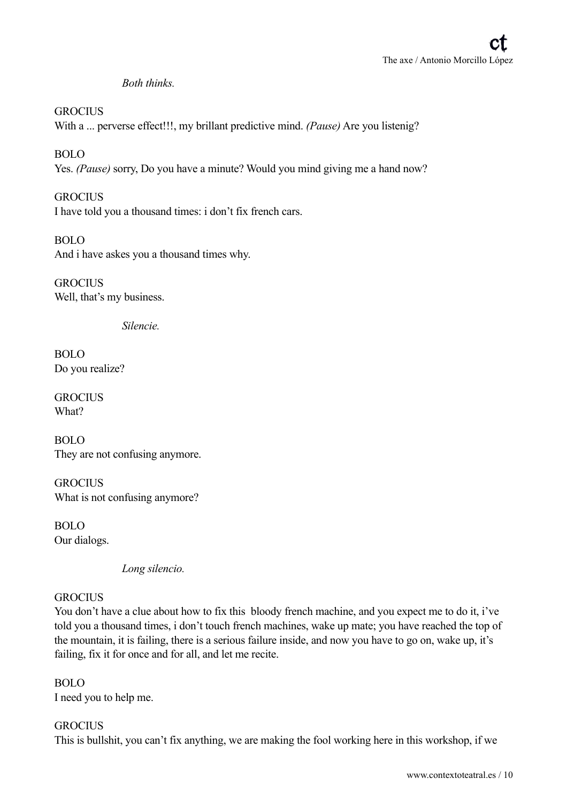# *Both thinks.*

**GROCIUS** With a ... perverse effect!!!, my brillant predictive mind. *(Pause)* Are you listenig?

BOLO Yes. *(Pause)* sorry, Do you have a minute? Would you mind giving me a hand now?

**GROCIUS** I have told you a thousand times: i don't fix french cars.

BOLO And i have askes you a thousand times why.

**GROCIUS** Well, that's my business.

 *Silencie.*

BOLO Do you realize?

**GROCIUS** What?

BOLO They are not confusing anymore.

**GROCIUS** What is not confusing anymore?

BOLO Our dialogs.

 *Long silencio.*

## **GROCIUS**

You don't have a clue about how to fix this bloody french machine, and you expect me to do it, i've told you a thousand times, i don't touch french machines, wake up mate; you have reached the top of the mountain, it is failing, there is a serious failure inside, and now you have to go on, wake up, it's failing, fix it for once and for all, and let me recite.

BOLO I need you to help me.

# **GROCIUS**

This is bullshit, you can't fix anything, we are making the fool working here in this workshop, if we